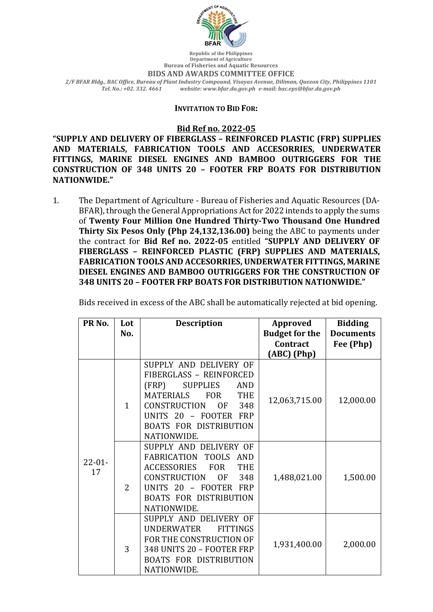

**Department of Agriculture Bureau of Fisheries and Aquatic Resources BIDS AND AWARDS COMMITTEE OFFICE** *2/F BFAR Bldg., BAC Office, Bureau of Plant Industry Compound, Visayas Avenue, Diliman, Quezon City, Philippines 1101 Tel. No.: +02. 332. 4661 website: www.bfar.da.gov.ph e-mail: bac.eps@bfar.da.gov.ph*

## **INVITATION TO BID FOR:**

## **Bid Ref no. 2022-05**

**"SUPPLY AND DELIVERY OF FIBERGLASS – REINFORCED PLASTIC (FRP) SUPPLIES**  AND MATERIALS, FABRICATION TOOLS AND ACCESORRIES, UNDERWATER **FITTINGS, MARINE DIESEL ENGINES AND BAMBOO OUTRIGGERS FOR THE CONSTRUCTION OF 348 UNITS 20 – FOOTER FRP BOATS FOR DISTRIBUTION NATIONWIDE."**

1. The Department of Agriculture - Bureau of Fisheries and Aquatic Resources (DA-BFAR), through the General Appropriations Act for 2022 intends to apply the sums of Twenty Four Million One Hundred Thirty-Two Thousand One Hundred **Thirty Six Pesos Only (Php 24,132,136.00)** being the ABC to payments under the contract for Bid Ref no. 2022-05 entitled "SUPPLY AND DELIVERY OF **FIBERGLASS – REINFORCED PLASTIC (FRP) SUPPLIES AND MATERIALS, FABRICATION TOOLS AND ACCESORRIES, UNDERWATER FITTINGS, MARINE DIESEL ENGINES AND BAMBOO OUTRIGGERS FOR THE CONSTRUCTION OF 348 UNITS 20 – FOOTER FRP BOATS FOR DISTRIBUTION NATIONWIDE."**

|  |  |  | Bids received in excess of the ABC shall be automatically rejected at bid opening. |
|--|--|--|------------------------------------------------------------------------------------|
|  |  |  |                                                                                    |

| PR <sub>No.</sub> | Lot<br>No.     | <b>Description</b>                                                                                                                                                                                                                                       | <b>Approved</b><br><b>Budget for the</b><br>Contract | <b>Bidding</b><br><b>Documents</b><br>Fee (Php) |
|-------------------|----------------|----------------------------------------------------------------------------------------------------------------------------------------------------------------------------------------------------------------------------------------------------------|------------------------------------------------------|-------------------------------------------------|
| $22 - 01 -$<br>17 | $\mathbf{1}$   | SUPPLY AND DELIVERY OF<br>FIBERGLASS - REINFORCED<br><b>SUPPLIES</b><br>(FRP)<br>AND<br><b>MATERIALS</b><br><b>FOR</b><br><b>THE</b><br><b>CONSTRUCTION</b><br><b>OF</b><br>348<br>UNITS 20 - FOOTER FRP<br><b>BOATS FOR DISTRIBUTION</b><br>NATIONWIDE. | (ABC) (Php)<br>12,063,715.00                         | 12,000.00                                       |
|                   | $\overline{2}$ | SUPPLY AND DELIVERY OF<br><b>FABRICATION</b><br><b>TOOLS</b><br><b>AND</b><br><b>ACCESSORIES</b><br><b>FOR</b><br><b>THE</b><br><b>CONSTRUCTION</b><br><b>OF</b><br>348<br>UNITS 20 - FOOTER FRP<br><b>BOATS FOR DISTRIBUTION</b><br>NATIONWIDE.         | 1,488,021.00                                         | 1,500.00                                        |
|                   | 3              | SUPPLY AND DELIVERY OF<br><b>FITTINGS</b><br><b>UNDERWATER</b><br>FOR THE CONSTRUCTION OF<br>348 UNITS 20 - FOOTER FRP<br><b>BOATS FOR DISTRIBUTION</b><br>NATIONWIDE.                                                                                   | 1,931,400.00                                         | 2,000.00                                        |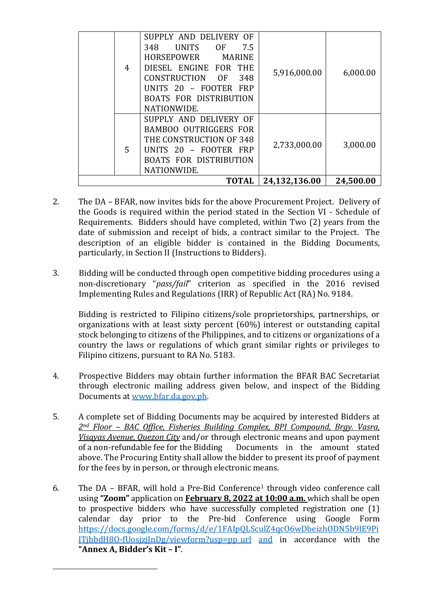| 4 | SUPPLY AND DELIVERY OF<br><b>UNITS</b><br>7.5<br>0F<br>348<br>HORSEPOWER<br><b>MARINE</b><br>DIESEL ENGINE FOR THE<br>CONSTRUCTION OF<br>348<br>UNITS 20 - FOOTER FRP<br><b>BOATS FOR DISTRIBUTION</b><br>NATIONWIDE. | 5,916,000.00  | 6,000.00  |
|---|-----------------------------------------------------------------------------------------------------------------------------------------------------------------------------------------------------------------------|---------------|-----------|
| 5 | SUPPLY AND DELIVERY OF<br><b>BAMBOO OUTRIGGERS FOR</b><br>THE CONSTRUCTION OF 348<br>UNITS 20 - FOOTER FRP<br><b>BOATS FOR DISTRIBUTION</b><br>NATIONWIDE.                                                            | 2,733,000.00  | 3,000.00  |
|   | <b>TOTAL</b>                                                                                                                                                                                                          | 24,132,136.00 | 24,500.00 |

- 2. The DA BFAR, now invites bids for the above Procurement Project. Delivery of the Goods is required within the period stated in the Section VI - Schedule of Requirements. Bidders should have completed, within Two (2) years from the date of submission and receipt of bids, a contract similar to the Project. The description of an eligible bidder is contained in the Bidding Documents, particularly, in Section II (Instructions to Bidders).
- 3. Bidding will be conducted through open competitive bidding procedures using a non-discretionary "*pass/fail*" criterion as specified in the 2016 revised Implementing Rules and Regulations (IRR) of Republic Act (RA) No. 9184.

Bidding is restricted to Filipino citizens/sole proprietorships, partnerships, or organizations with at least sixty percent  $(60%)$  interest or outstanding capital stock belonging to citizens of the Philippines, and to citizens or organizations of a country the laws or regulations of which grant similar rights or privileges to Filipino citizens, pursuant to RA No. 5183.

- 4. Prospective Bidders may obtain further information the BFAR BAC Secretariat through electronic mailing address given below, and inspect of the Bidding Documents at www.bfar.da.gov.ph.
- 5. A complete set of Bidding Documents may be acquired by interested Bidders at 2<sup>nd</sup> Floor – BAC Office, Fisheries Building Complex, BPI Compound, Brgy. Vasra, *Visayas Avenue, Quezon City* and/or through electronic means and upon payment of a non-refundable fee for the Bidding Documents in the amount stated above. The Procuring Entity shall allow the bidder to present its proof of payment for the fees by in person, or through electronic means.
- 6. The DA BFAR, will hold a Pre-Bid Conference<sup>1</sup> through video conference call using "Zoom" application on **February 8, 2022 at 10:00 a.m.** which shall be open to prospective bidders who have successfully completed registration one  $(1)$ calendar day prior to the Pre-bid Conference using Google Form https://docs.google.com/forms/d/e/1FAIpQLSculZ4qcO6wDbeizhODN5b9lE9Pi  $I$ TjhbdH8O-fUosjzj $InDg/viewform?usp=ppurl$  and in accordance with the **"Annex A, Bidder's Kit – I"**.